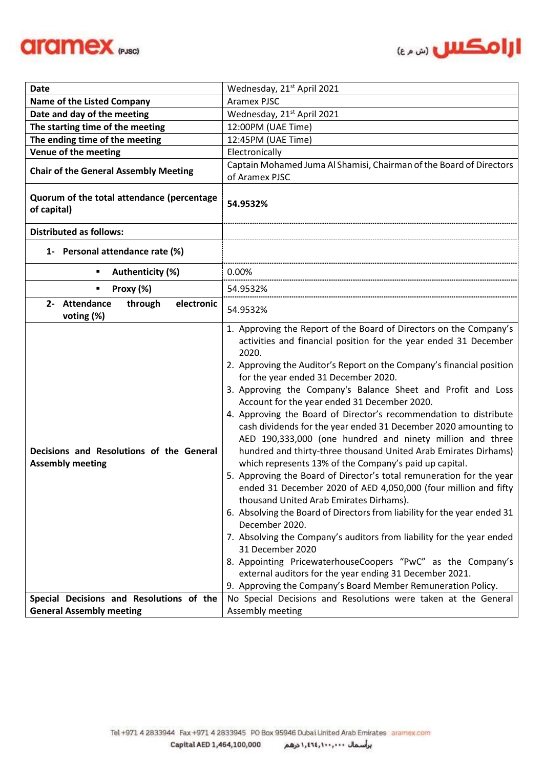



| Date                                                                | Wednesday, 21 <sup>st</sup> April 2021                                                                                                                                                                                                                                                                                                                                                                                                                                                                                                                                                                                                                                                                                                                                                                                                                                                                                                                                                                                                                                                                                                                                                                                                                                                        |  |
|---------------------------------------------------------------------|-----------------------------------------------------------------------------------------------------------------------------------------------------------------------------------------------------------------------------------------------------------------------------------------------------------------------------------------------------------------------------------------------------------------------------------------------------------------------------------------------------------------------------------------------------------------------------------------------------------------------------------------------------------------------------------------------------------------------------------------------------------------------------------------------------------------------------------------------------------------------------------------------------------------------------------------------------------------------------------------------------------------------------------------------------------------------------------------------------------------------------------------------------------------------------------------------------------------------------------------------------------------------------------------------|--|
| <b>Name of the Listed Company</b>                                   | Aramex PJSC                                                                                                                                                                                                                                                                                                                                                                                                                                                                                                                                                                                                                                                                                                                                                                                                                                                                                                                                                                                                                                                                                                                                                                                                                                                                                   |  |
| Date and day of the meeting                                         | Wednesday, 21 <sup>st</sup> April 2021                                                                                                                                                                                                                                                                                                                                                                                                                                                                                                                                                                                                                                                                                                                                                                                                                                                                                                                                                                                                                                                                                                                                                                                                                                                        |  |
| The starting time of the meeting                                    | 12:00PM (UAE Time)                                                                                                                                                                                                                                                                                                                                                                                                                                                                                                                                                                                                                                                                                                                                                                                                                                                                                                                                                                                                                                                                                                                                                                                                                                                                            |  |
| The ending time of the meeting                                      | 12:45PM (UAE Time)                                                                                                                                                                                                                                                                                                                                                                                                                                                                                                                                                                                                                                                                                                                                                                                                                                                                                                                                                                                                                                                                                                                                                                                                                                                                            |  |
| Venue of the meeting                                                | Electronically                                                                                                                                                                                                                                                                                                                                                                                                                                                                                                                                                                                                                                                                                                                                                                                                                                                                                                                                                                                                                                                                                                                                                                                                                                                                                |  |
| <b>Chair of the General Assembly Meeting</b>                        | Captain Mohamed Juma Al Shamisi, Chairman of the Board of Directors                                                                                                                                                                                                                                                                                                                                                                                                                                                                                                                                                                                                                                                                                                                                                                                                                                                                                                                                                                                                                                                                                                                                                                                                                           |  |
|                                                                     | of Aramex PJSC                                                                                                                                                                                                                                                                                                                                                                                                                                                                                                                                                                                                                                                                                                                                                                                                                                                                                                                                                                                                                                                                                                                                                                                                                                                                                |  |
| Quorum of the total attendance (percentage<br>of capital)           | 54.9532%                                                                                                                                                                                                                                                                                                                                                                                                                                                                                                                                                                                                                                                                                                                                                                                                                                                                                                                                                                                                                                                                                                                                                                                                                                                                                      |  |
| <b>Distributed as follows:</b>                                      |                                                                                                                                                                                                                                                                                                                                                                                                                                                                                                                                                                                                                                                                                                                                                                                                                                                                                                                                                                                                                                                                                                                                                                                                                                                                                               |  |
| 1- Personal attendance rate (%)                                     |                                                                                                                                                                                                                                                                                                                                                                                                                                                                                                                                                                                                                                                                                                                                                                                                                                                                                                                                                                                                                                                                                                                                                                                                                                                                                               |  |
| Authenticity (%)<br>٠                                               | 0.00%                                                                                                                                                                                                                                                                                                                                                                                                                                                                                                                                                                                                                                                                                                                                                                                                                                                                                                                                                                                                                                                                                                                                                                                                                                                                                         |  |
| Proxy (%)<br>п                                                      | 54.9532%                                                                                                                                                                                                                                                                                                                                                                                                                                                                                                                                                                                                                                                                                                                                                                                                                                                                                                                                                                                                                                                                                                                                                                                                                                                                                      |  |
| 2- Attendance<br>through<br>electronic<br>voting (%)                | 54.9532%                                                                                                                                                                                                                                                                                                                                                                                                                                                                                                                                                                                                                                                                                                                                                                                                                                                                                                                                                                                                                                                                                                                                                                                                                                                                                      |  |
| Decisions and Resolutions of the General<br><b>Assembly meeting</b> | 1. Approving the Report of the Board of Directors on the Company's<br>activities and financial position for the year ended 31 December<br>2020.<br>2. Approving the Auditor's Report on the Company's financial position<br>for the year ended 31 December 2020.<br>3. Approving the Company's Balance Sheet and Profit and Loss<br>Account for the year ended 31 December 2020.<br>4. Approving the Board of Director's recommendation to distribute<br>cash dividends for the year ended 31 December 2020 amounting to<br>AED 190,333,000 (one hundred and ninety million and three<br>hundred and thirty-three thousand United Arab Emirates Dirhams)<br>which represents 13% of the Company's paid up capital.<br>5. Approving the Board of Director's total remuneration for the year<br>ended 31 December 2020 of AED 4,050,000 (four million and fifty<br>thousand United Arab Emirates Dirhams).<br>6. Absolving the Board of Directors from liability for the year ended 31<br>December 2020.<br>7. Absolving the Company's auditors from liability for the year ended<br>31 December 2020<br>8. Appointing PricewaterhouseCoopers "PwC" as the Company's<br>external auditors for the year ending 31 December 2021.<br>9. Approving the Company's Board Member Remuneration Policy. |  |
| Special Decisions and Resolutions of the                            | No Special Decisions and Resolutions were taken at the General                                                                                                                                                                                                                                                                                                                                                                                                                                                                                                                                                                                                                                                                                                                                                                                                                                                                                                                                                                                                                                                                                                                                                                                                                                |  |
| <b>General Assembly meeting</b>                                     | Assembly meeting                                                                                                                                                                                                                                                                                                                                                                                                                                                                                                                                                                                                                                                                                                                                                                                                                                                                                                                                                                                                                                                                                                                                                                                                                                                                              |  |